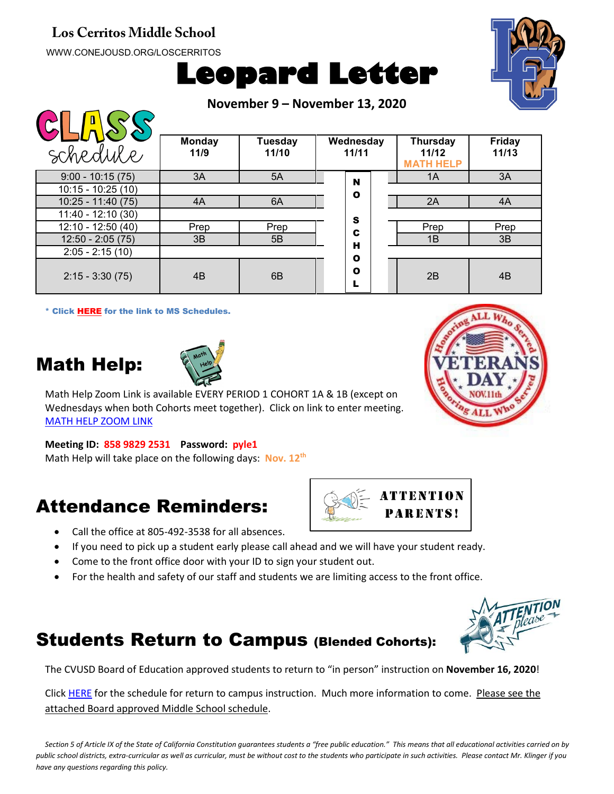#### **Los Cerritos Middle School**

WWW.CONEJOUSD.ORG/LOSCERRITOS

 $\bigcap \bigcap \bigcap \bigcap \bigcap \bigcap \bigcap$ 

# **Leopard Letter**



**November 9 – November 13, 2020**

| <b>YISIN</b>        |                       |                         |                    |                                              |                        |
|---------------------|-----------------------|-------------------------|--------------------|----------------------------------------------|------------------------|
| schedule            | <b>Monday</b><br>11/9 | <b>Tuesday</b><br>11/10 | Wednesday<br>11/11 | <b>Thursday</b><br>11/12<br><b>MATH HELP</b> | <b>Friday</b><br>11/13 |
| $9:00 - 10:15(75)$  | 3A                    | 5A                      | N                  | 1A                                           | 3A                     |
| $10:15 - 10:25(10)$ |                       |                         | $\mathbf o$        |                                              |                        |
| $10:25 - 11:40(75)$ | 4A                    | 6A                      |                    | 2A                                           | 4A                     |
| $11:40 - 12:10(30)$ |                       |                         | S                  |                                              |                        |
| 12:10 - 12:50 (40)  | Prep                  | Prep                    | C                  | Prep                                         | Prep                   |
| $12:50 - 2:05(75)$  | 3B                    | 5B                      | н                  | 1B                                           | 3B                     |
| $2:05 - 2:15(10)$   |                       |                         | $\mathbf o$        |                                              |                        |
| $2:15 - 3:30(75)$   | 4B                    | 6B                      | $\mathbf o$        | 2B                                           | 4B                     |

\* Click [HERE](https://www.conejousd.org/Portals/41/2020-2021/Middle%20School%20Remote%20Calendar_fnl.pdf?ver=2020-08-25-121556-487) for the link to MS Schedules.

## Math Help:



Math Help Zoom Link is available EVERY PERIOD 1 COHORT 1A & 1B (except on Wednesdays when both Cohorts meet together). Click on link to enter meeting. [MATH HELP ZOOM LINK](https://conejousd-org.zoom.us/j/85898292531?pwd=dE1yRk5Ic0Y0SEo2SWQzbnRRWnBEZz09)

#### **Meeting ID: 858 9829 2531 Password: pyle1**

Math Help will take place on the following days: **Nov. 12th**

### Attendance Reminders:

- Call the office at 805-492-3538 for all absences.
- If you need to pick up a student early please call ahead and we will have your student ready.
- Come to the front office door with your ID to sign your student out.
- For the health and safety of our staff and students we are limiting access to the front office.

#### Students Return to Campus (Blended Cohorts):

The CVUSD Board of Education approved students to return to "in person" instruction on **November 16, 2020**!

Click [HERE](https://conejousd.org/Portals/0/Approved%20Timeline%2010.21.pdf?ver=2020-10-21-153302-353) for the schedule for return to campus instruction. Much more information to come. Please see the attached Board approved Middle School schedule.